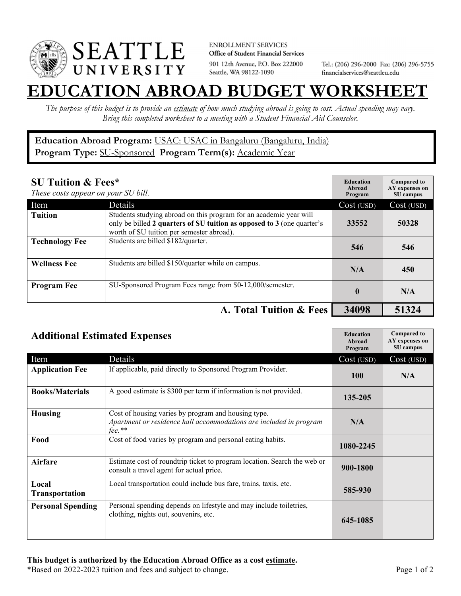

**ENROLLMENT SERVICES** Office of Student Financial Services 901 12th Avenue, P.O. Box 222000 Seattle, WA 98122-1090

Tel.: (206) 296-2000 Fax: (206) 296-5755 financialservices@seattleu.edu

## **EATION ABROAD BUDGET WORKSHEE**

*The purpose of this budget is to provide an estimate of how much studying abroad is going to cost. Actual spending may vary. Bring this completed worksheet to a meeting with a Student Financial Aid Counselor.* 

## **Education Abroad Program:** USAC: USAC in Bangaluru (Bangaluru, India) **Program Type:** SU-Sponsored **Program Term(s):** Academic Year

| <b>SU Tuition &amp; Fees*</b><br>These costs appear on your SU bill. |                                                                                                                                                                                           | <b>Education</b><br>Abroad<br>Program | <b>Compared to</b><br>AY expenses on<br>SU campus |
|----------------------------------------------------------------------|-------------------------------------------------------------------------------------------------------------------------------------------------------------------------------------------|---------------------------------------|---------------------------------------------------|
| Item                                                                 | Details                                                                                                                                                                                   | Cost (USD)                            | Cost (USD)                                        |
| <b>Tuition</b>                                                       | Students studying abroad on this program for an academic year will<br>only be billed 2 quarters of SU tuition as opposed to 3 (one quarter's<br>worth of SU tuition per semester abroad). | 33552                                 | 50328                                             |
| <b>Technology Fee</b>                                                | Students are billed \$182/quarter.                                                                                                                                                        | 546                                   | 546                                               |
| <b>Wellness Fee</b>                                                  | Students are billed \$150/quarter while on campus.                                                                                                                                        | N/A                                   | 450                                               |
| <b>Program Fee</b>                                                   | SU-Sponsored Program Fees range from \$0-12,000/semester.                                                                                                                                 | $\mathbf{0}$                          | N/A                                               |
|                                                                      | A. Total Tuition & Fees                                                                                                                                                                   | 34098                                 | 51324                                             |

| <b>Additional Estimated Expenses</b> |                                                                                                                                        | <b>Education</b><br>Abroad<br>Program | <b>Compared to</b><br>AY expenses on<br>SU campus |
|--------------------------------------|----------------------------------------------------------------------------------------------------------------------------------------|---------------------------------------|---------------------------------------------------|
| Item                                 | Details                                                                                                                                | Cost (USD)                            | Cost (USD)                                        |
| <b>Application Fee</b>               | If applicable, paid directly to Sponsored Program Provider.                                                                            | 100                                   | N/A                                               |
| <b>Books/Materials</b>               | A good estimate is \$300 per term if information is not provided.                                                                      | 135-205                               |                                                   |
| <b>Housing</b>                       | Cost of housing varies by program and housing type.<br>Apartment or residence hall accommodations are included in program<br>$fee.$ ** | N/A                                   |                                                   |
| Food                                 | Cost of food varies by program and personal eating habits.                                                                             | 1080-2245                             |                                                   |
| <b>Airfare</b>                       | Estimate cost of roundtrip ticket to program location. Search the web or<br>consult a travel agent for actual price.                   | 900-1800                              |                                                   |
| Local<br>Transportation              | Local transportation could include bus fare, trains, taxis, etc.                                                                       | 585-930                               |                                                   |
| <b>Personal Spending</b>             | Personal spending depends on lifestyle and may include toiletries,<br>clothing, nights out, souvenirs, etc.                            | 645-1085                              |                                                   |

\*Based on 2022-2023 tuition and fees and subject to change. Page 1 of 2